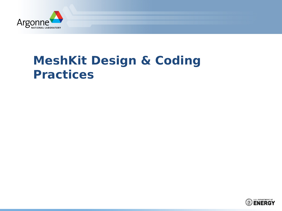

# **MeshKit Design & Coding Practices**

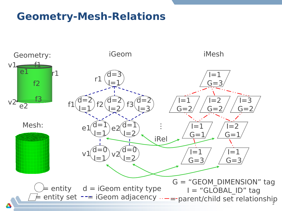#### **Geometry-Mesh-Relations**

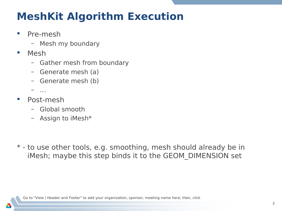### **MeshKit Algorithm Execution**

- **Pre-mesh** 
	- Mesh my boundary
- Mesh
	- Gather mesh from boundary
	- Generate mesh (a)
	- Generate mesh (b)
	- …
- Post-mesh
	- Global smooth
	- Assign to iMesh\*

\* - to use other tools, e.g. smoothing, mesh should already be in iMesh; maybe this step binds it to the GEOM\_DIMENSION set

Go to "View | Header and Footer" to add your organization, sponsor, meeting name here; then, click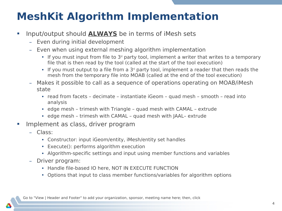## **MeshKit Algorithm Implementation**

- **Input/output should ALWAYS** be in terms of iMesh sets
	- Even during initial development
	- Even when using external meshing algorithm implementation
		- If you must input from file to  $3<sup>d</sup>$  party tool, implement a writer that writes to a temporary file that is then read by the tool (called at the start of the tool execution)
		- If you must output to a file from a  $3<sup>d</sup>$  party tool, implement a reader that then reads the mesh from the temporary file into MOAB (called at the end of the tool execution)
	- Makes it possible to call as a sequence of operations operating on MOAB/iMesh state
		- read from facets decimate instantiate iGeom quad mesh smooth read into analysis
		- edge mesh trimesh with Triangle quad mesh with CAMAL extrude
		- edge mesh trimesh with CAMAL quad mesh with JAAL– extrude
- **Implement as class, driver program** 
	- Class:
		- Constructor: input iGeom/entity, iMesh/entity set handles
		- Execute(): performs algorithm execution
		- Algorithm-specific settings and input using member functions and variables
	- Driver program:
		- Handle file-based IO here, NOT IN EXECUTE FUNCTION
		- Options that input to class member functions/variables for algorithm options